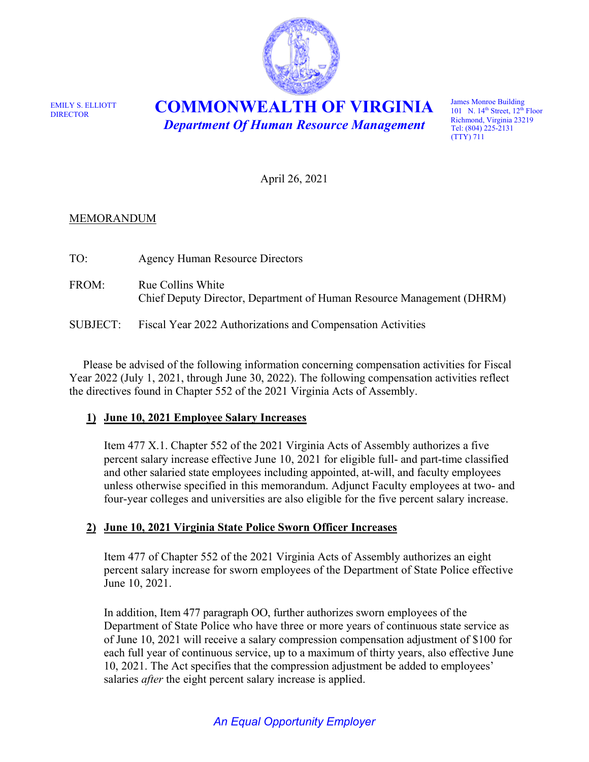

EMILY S. ELLIOTT **DIRECTOR** 

# **COMMONWEALTH OF VIRGINIA** *Department Of Human Resource Management*

James Monroe Building 101 N. 14<sup>th</sup> Street, 12<sup>th</sup> Floor Richmond, Virginia 23219 Tel: (804) 225-2131 (TTY) 711

April 26, 2021

# MEMORANDUM

| TO:             | <b>Agency Human Resource Directors</b>                                                     |
|-----------------|--------------------------------------------------------------------------------------------|
| FROM:           | Rue Collins White<br>Chief Deputy Director, Department of Human Resource Management (DHRM) |
| <b>SUBJECT:</b> | Fiscal Year 2022 Authorizations and Compensation Activities                                |

Please be advised of the following information concerning compensation activities for Fiscal Year 2022 (July 1, 2021, through June 30, 2022). The following compensation activities reflect the directives found in Chapter 552 of the 2021 Virginia Acts of Assembly.

# **1) June 10, 2021 Employee Salary Increases**

Item 477 X.1. Chapter 552 of the 2021 Virginia Acts of Assembly authorizes a five percent salary increase effective June 10, 2021 for eligible full- and part-time classified and other salaried state employees including appointed, at-will, and faculty employees unless otherwise specified in this memorandum. Adjunct Faculty employees at two- and four-year colleges and universities are also eligible for the five percent salary increase.

# **2) June 10, 2021 Virginia State Police Sworn Officer Increases**

Item 477 of Chapter 552 of the 2021 Virginia Acts of Assembly authorizes an eight percent salary increase for sworn employees of the Department of State Police effective June 10, 2021.

In addition, Item 477 paragraph OO, further authorizes sworn employees of the Department of State Police who have three or more years of continuous state service as of June 10, 2021 will receive a salary compression compensation adjustment of \$100 for each full year of continuous service, up to a maximum of thirty years, also effective June 10, 2021. The Act specifies that the compression adjustment be added to employees' salaries *after* the eight percent salary increase is applied.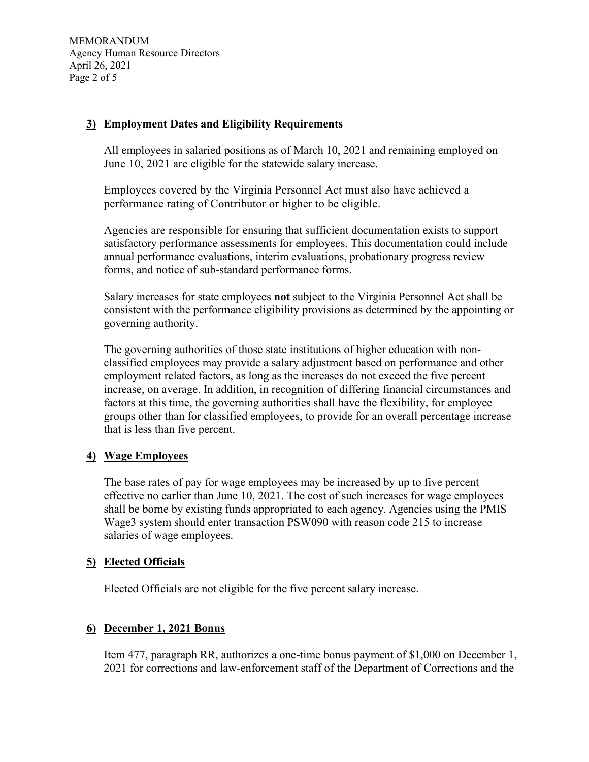MEMORANDUM Agency Human Resource Directors April 26, 2021 Page 2 of 5

#### **3) Employment Dates and Eligibility Requirements**

All employees in salaried positions as of March 10, 2021 and remaining employed on June 10, 2021 are eligible for the statewide salary increase.

Employees covered by the Virginia Personnel Act must also have achieved a performance rating of Contributor or higher to be eligible.

Agencies are responsible for ensuring that sufficient documentation exists to support satisfactory performance assessments for employees. This documentation could include annual performance evaluations, interim evaluations, probationary progress review forms, and notice of sub-standard performance forms.

Salary increases for state employees **not** subject to the Virginia Personnel Act shall be consistent with the performance eligibility provisions as determined by the appointing or governing authority.

The governing authorities of those state institutions of higher education with nonclassified employees may provide a salary adjustment based on performance and other employment related factors, as long as the increases do not exceed the five percent increase, on average. In addition, in recognition of differing financial circumstances and factors at this time, the governing authorities shall have the flexibility, for employee groups other than for classified employees, to provide for an overall percentage increase that is less than five percent.

## **4) Wage Employees**

The base rates of pay for wage employees may be increased by up to five percent effective no earlier than June 10, 2021. The cost of such increases for wage employees shall be borne by existing funds appropriated to each agency. Agencies using the PMIS Wage3 system should enter transaction PSW090 with reason code 215 to increase salaries of wage employees.

## **5) Elected Officials**

Elected Officials are not eligible for the five percent salary increase.

#### **6) December 1, 2021 Bonus**

Item 477, paragraph RR, authorizes a one-time bonus payment of \$1,000 on December 1, 2021 for corrections and law-enforcement staff of the Department of Corrections and the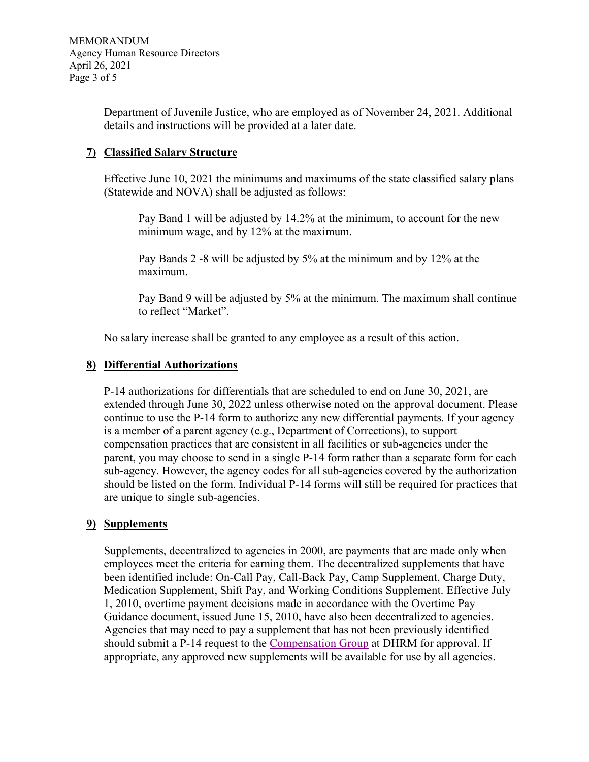Department of Juvenile Justice, who are employed as of November 24, 2021. Additional details and instructions will be provided at a later date.

## **7) Classified Salary Structure**

Effective June 10, 2021 the minimums and maximums of the state classified salary plans (Statewide and NOVA) shall be adjusted as follows:

Pay Band 1 will be adjusted by 14.2% at the minimum, to account for the new minimum wage, and by 12% at the maximum.

Pay Bands 2 -8 will be adjusted by 5% at the minimum and by 12% at the maximum.

Pay Band 9 will be adjusted by 5% at the minimum. The maximum shall continue to reflect "Market".

No salary increase shall be granted to any employee as a result of this action.

# **8) Differential Authorizations**

P-14 authorizations for differentials that are scheduled to end on June 30, 2021, are extended through June 30, 2022 unless otherwise noted on the approval document. Please continue to use the P-14 form to authorize any new differential payments. If your agency is a member of a parent agency (e.g., Department of Corrections), to support compensation practices that are consistent in all facilities or sub-agencies under the parent, you may choose to send in a single P-14 form rather than a separate form for each sub-agency. However, the agency codes for all sub-agencies covered by the authorization should be listed on the form. Individual P-14 forms will still be required for practices that are unique to single sub-agencies.

## **9) Supplements**

Supplements, decentralized to agencies in 2000, are payments that are made only when employees meet the criteria for earning them. The decentralized supplements that have been identified include: On-Call Pay, Call-Back Pay, Camp Supplement, Charge Duty, Medication Supplement, Shift Pay, and Working Conditions Supplement. Effective July 1, 2010, overtime payment decisions made in accordance with the [Overtime Pay](http://www.dhrm.virginia.gov/docs/default-source/compensationdocuments/fiscalyear11overtime-guidance.pdf?sfvrsn=2)  [Guidance document, issued June 15, 2010,](http://www.dhrm.virginia.gov/docs/default-source/compensationdocuments/fiscalyear11overtime-guidance.pdf?sfvrsn=2) have also been decentralized to agencies. Agencies that may need to pay a supplement that has not been previously identified should submit a P-14 request to the [Compensation Group](mailto:Santana.avalos@dhrm.virginia.gov) at DHRM for approval. If appropriate, any approved new supplements will be available for use by all agencies.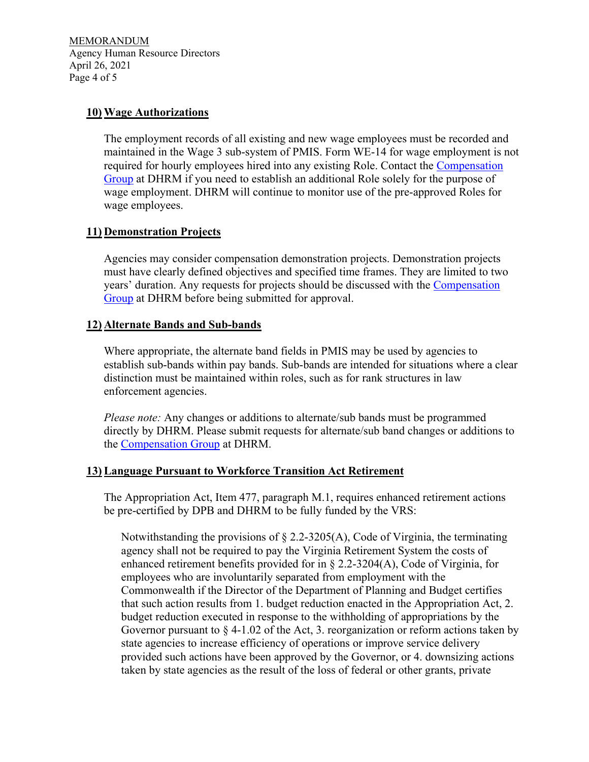MEMORANDUM Agency Human Resource Directors April 26, 2021 Page 4 of 5

#### **10) Wage Authorizations**

The employment records of all existing and new wage employees must be recorded and maintained in the Wage 3 sub-system of PMIS. Form WE-14 for wage employment is not required for hourly employees hired into any existing Role. Contact the [Compensation](mailto:Santana.avalos@dhrm.virginia.gov)  [Group](mailto:Santana.avalos@dhrm.virginia.gov) at DHRM if you need to establish an additional Role solely for the purpose of wage employment. DHRM will continue to monitor use of the pre-approved Roles for wage employees.

#### **11) Demonstration Projects**

Agencies may consider compensation demonstration projects. Demonstration projects must have clearly defined objectives and specified time frames. They are limited to two years' duration. Any requests for projects should be discussed with the [Compensation](mailto:Santana.avalos@dhrm.virginia.gov)  [Group](mailto:Santana.avalos@dhrm.virginia.gov) at DHRM before being submitted for approval.

#### **12) Alternate Bands and Sub-bands**

Where appropriate, the alternate band fields in PMIS may be used by agencies to establish sub-bands within pay bands. Sub-bands are intended for situations where a clear distinction must be maintained within roles, such as for rank structures in law enforcement agencies.

*Please note:* Any changes or additions to alternate/sub bands must be programmed directly by DHRM. Please submit requests for alternate/sub band changes or additions to the [Compensation Group](mailto:Santana.avalos@dhrm.virginia.gov) at DHRM.

## **13) Language Pursuant to Workforce Transition Act Retirement**

The Appropriation Act, Item 477, paragraph M.1, requires enhanced retirement actions be pre-certified by DPB and DHRM to be fully funded by the VRS:

Notwithstanding the provisions of  $\S 2.2$ -3205(A), Code of Virginia, the terminating agency shall not be required to pay the Virginia Retirement System the costs of enhanced retirement benefits provided for in § 2.2-3204(A), Code of Virginia, for employees who are involuntarily separated from employment with the Commonwealth if the Director of the Department of Planning and Budget certifies that such action results from 1. budget reduction enacted in the Appropriation Act, 2. budget reduction executed in response to the withholding of appropriations by the Governor pursuant to  $\S$  4-1.02 of the Act, 3. reorganization or reform actions taken by state agencies to increase efficiency of operations or improve service delivery provided such actions have been approved by the Governor, or 4. downsizing actions taken by state agencies as the result of the loss of federal or other grants, private